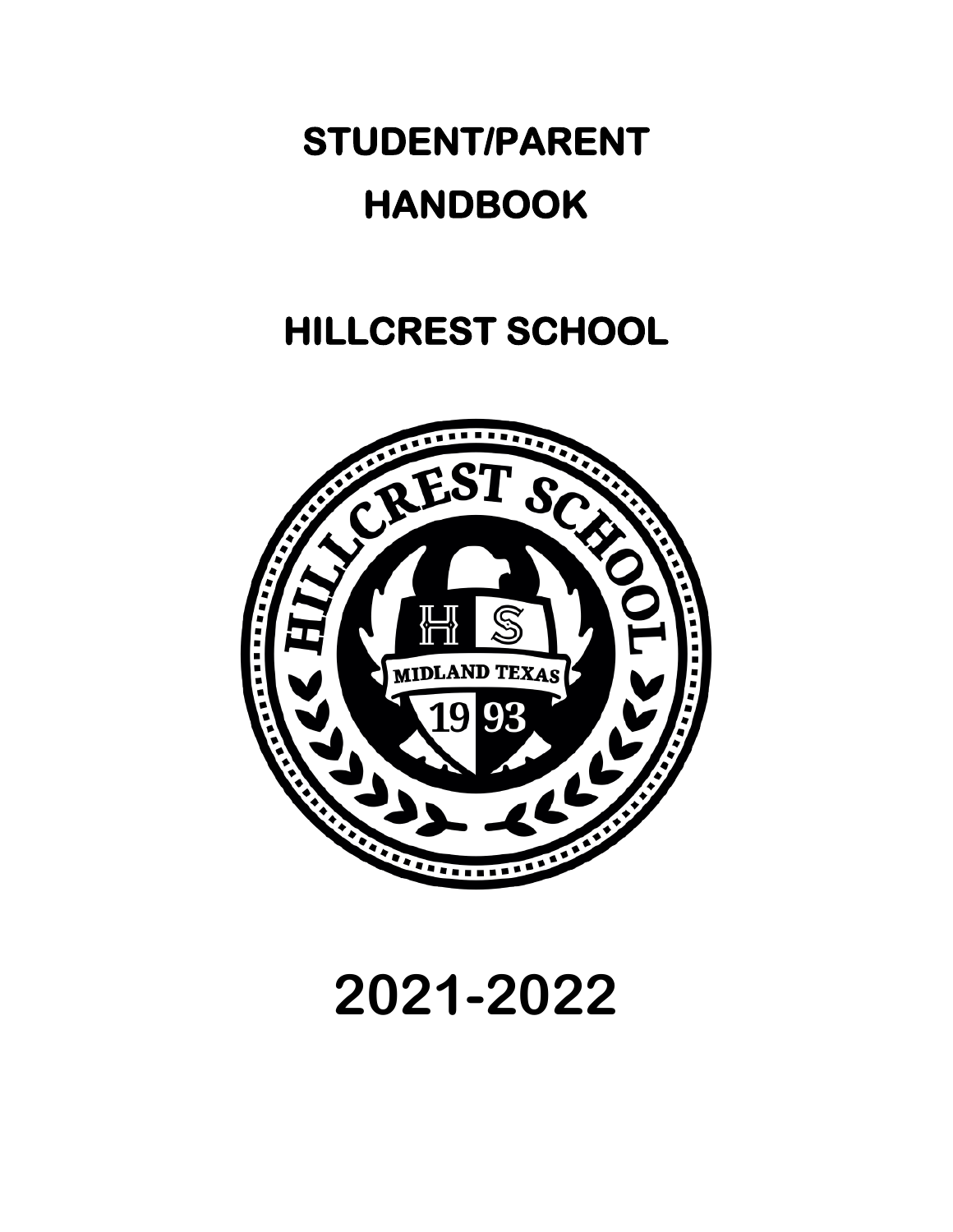# **STUDENT/PARENT HANDBOOK**

# **HILLCREST SCHOOL**



**2021-2022**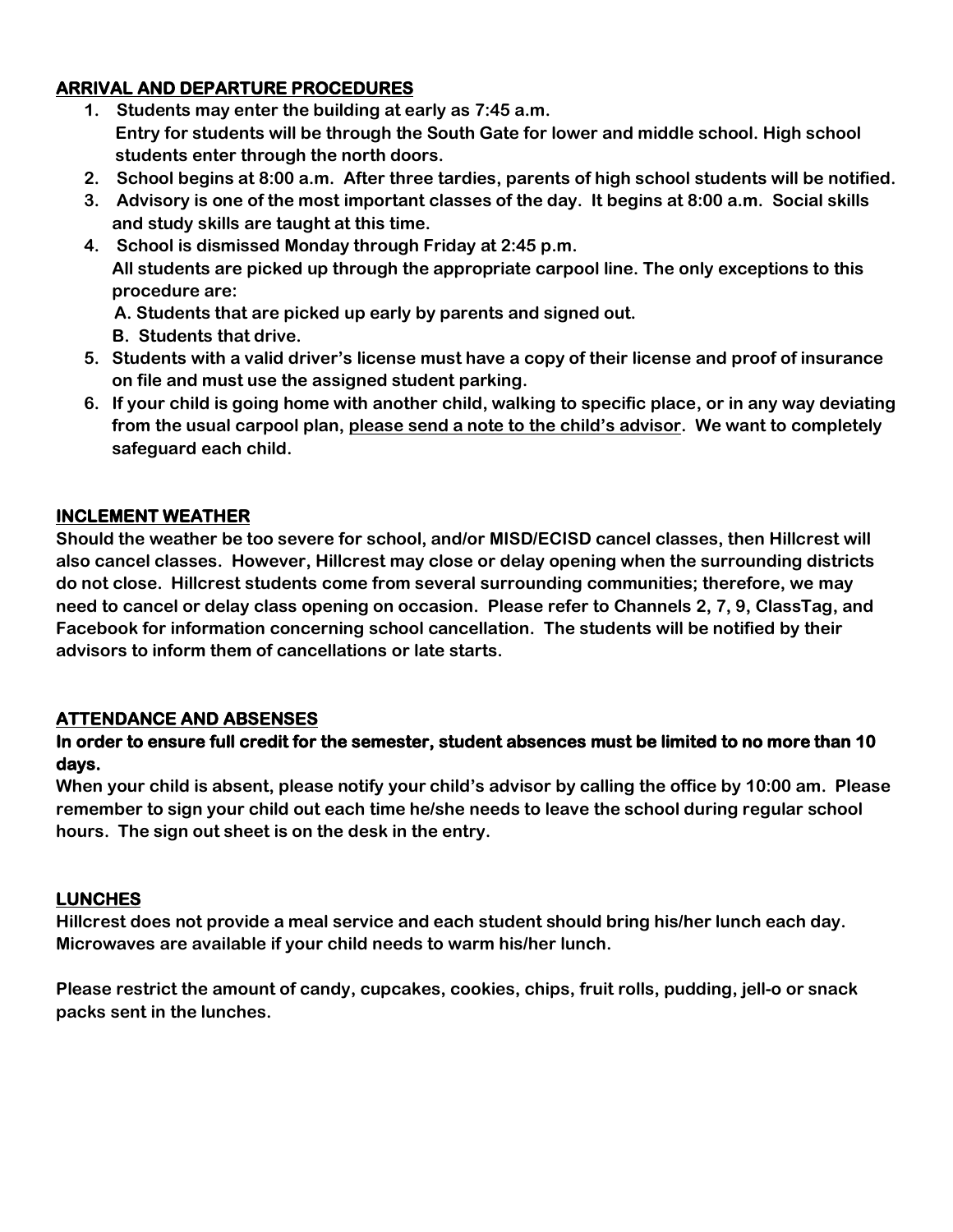### **ARRIVAL AND DEPARTURE PROCEDURES**

- **1. Students may enter the building at early as 7:45 a.m. Entry for students will be through the South Gate for lower and middle school. High school students enter through the north doors.**
- **2. School begins at 8:00 a.m. After three tardies, parents of high school students will be notified.**
- **3. Advisory is one of the most important classes of the day. It begins at 8:00 a.m. Social skills and study skills are taught at this time.**
- **4. School is dismissed Monday through Friday at 2:45 p.m. All students are picked up through the appropriate carpool line. The only exceptions to this procedure are:**
	- **A. Students that are picked up early by parents and signed out.**
	- **B. Students that drive.**
- **5. Students with a valid driver's license must have a copy of their license and proof of insurance on file and must use the assigned student parking.**
- **6. If your child is going home with another child, walking to specific place, or in any way deviating from the usual carpool plan, please send a note to the child's advisor. We want to completely safeguard each child.**

### **INCLEMENT WEATHER**

**Should the weather be too severe for school, and/or MISD/ECISD cancel classes, then Hillcrest will also cancel classes. However, Hillcrest may close or delay opening when the surrounding districts do not close. Hillcrest students come from several surrounding communities; therefore, we may need to cancel or delay class opening on occasion. Please refer to Channels 2, 7, 9, ClassTag, and Facebook for information concerning school cancellation. The students will be notified by their advisors to inform them of cancellations or late starts.**

### **ATTENDANCE AND ABSENSES**

### **In order to ensure full credit for the semester, student absences must be limited to no more than 10 days.**

**When your child is absent, please notify your child's advisor by calling the office by 10:00 am. Please remember to sign your child out each time he/she needs to leave the school during regular school hours. The sign out sheet is on the desk in the entry.**

#### **LUNCHES**

**Hillcrest does not provide a meal service and each student should bring his/her lunch each day. Microwaves are available if your child needs to warm his/her lunch.**

**Please restrict the amount of candy, cupcakes, cookies, chips, fruit rolls, pudding, jell-o or snack packs sent in the lunches.**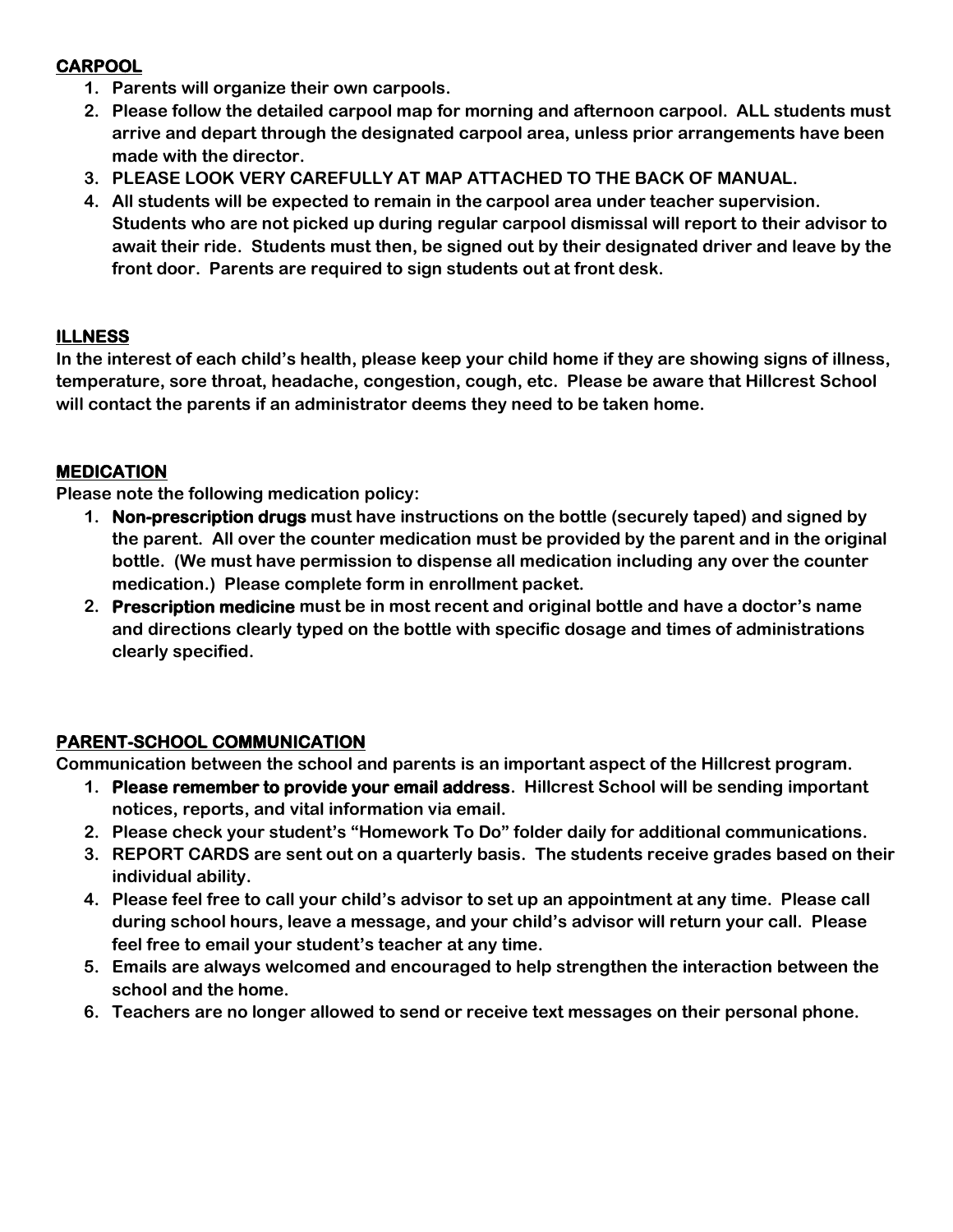### **CARPOOL**

- **1. Parents will organize their own carpools.**
- **2. Please follow the detailed carpool map for morning and afternoon carpool. ALL students must arrive and depart through the designated carpool area, unless prior arrangements have been made with the director.**
- **3. PLEASE LOOK VERY CAREFULLY AT MAP ATTACHED TO THE BACK OF MANUAL.**
- **4. All students will be expected to remain in the carpool area under teacher supervision. Students who are not picked up during regular carpool dismissal will report to their advisor to await their ride. Students must then, be signed out by their designated driver and leave by the front door. Parents are required to sign students out at front desk.**

### **ILLNESS**

**In the interest of each child's health, please keep your child home if they are showing signs of illness, temperature, sore throat, headache, congestion, cough, etc. Please be aware that Hillcrest School will contact the parents if an administrator deems they need to be taken home.**

### **MEDICATION**

**Please note the following medication policy:**

- **1. Non-prescription drugs must have instructions on the bottle (securely taped) and signed by the parent. All over the counter medication must be provided by the parent and in the original bottle. (We must have permission to dispense all medication including any over the counter medication.) Please complete form in enrollment packet.**
- **2. Prescription medicine must be in most recent and original bottle and have a doctor's name and directions clearly typed on the bottle with specific dosage and times of administrations clearly specified.**

### **PARENT-SCHOOL COMMUNICATION**

**Communication between the school and parents is an important aspect of the Hillcrest program.**

- **1. Please remember to provide your email address. Hillcrest School will be sending important notices, reports, and vital information via email.**
- **2. Please check your student's "Homework To Do" folder daily for additional communications.**
- **3. REPORT CARDS are sent out on a quarterly basis. The students receive grades based on their individual ability.**
- **4. Please feel free to call your child's advisor to set up an appointment at any time. Please call during school hours, leave a message, and your child's advisor will return your call. Please feel free to email your student's teacher at any time.**
- **5. Emails are always welcomed and encouraged to help strengthen the interaction between the school and the home.**
- **6. Teachers are no longer allowed to send or receive text messages on their personal phone.**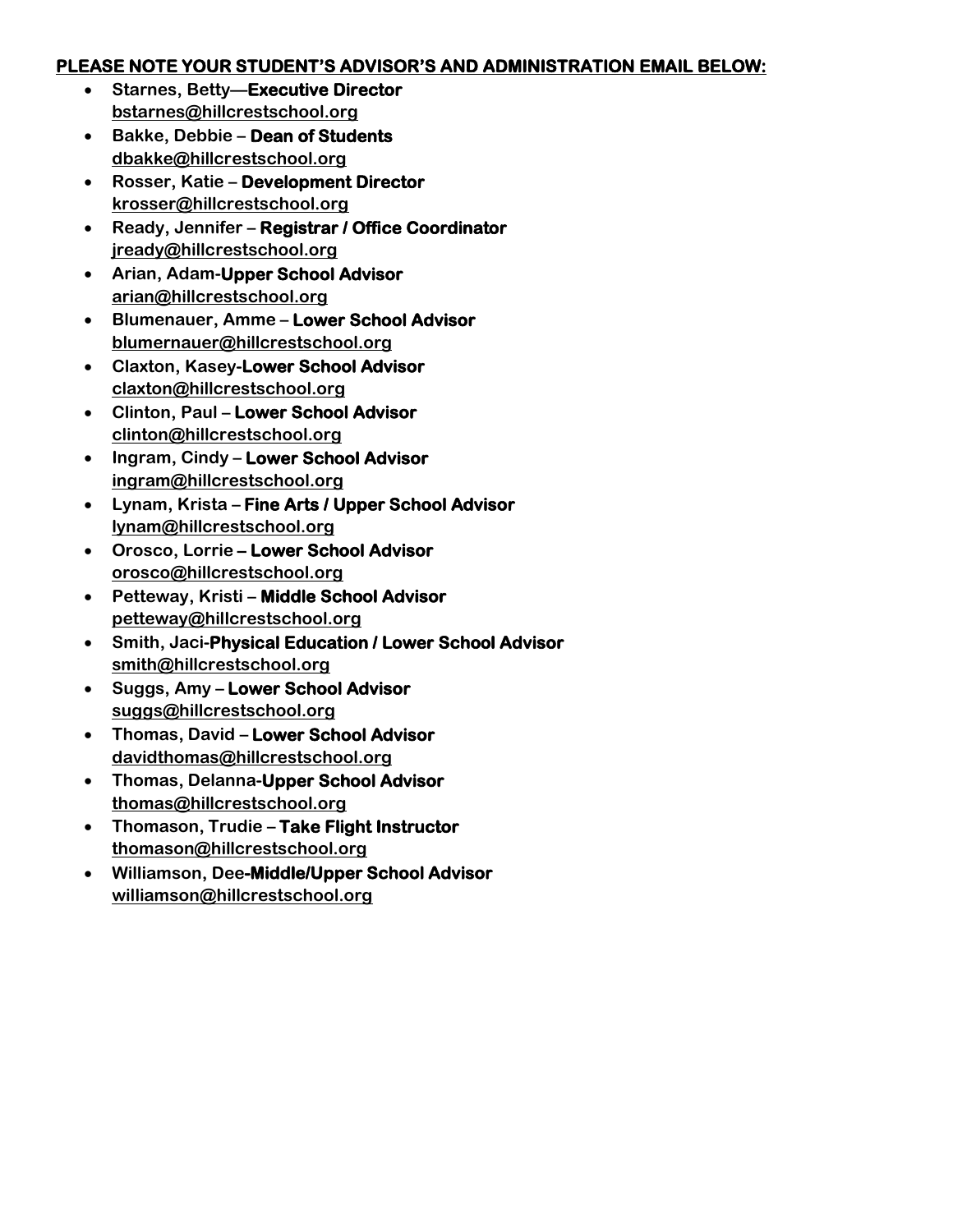### **PLEASE NOTE YOUR STUDENT'S ADVISOR'S AND ADMINISTRATION EMAIL BELOW:**

- **Starnes, Betty—Executive Director [bstarnes@hillcrestschool.org](mailto:bstarnes@hillcrestschool.org)**
- **Bakke, Debbie – Dean of Students [dbakke@hillcrestschool.org](mailto:dbakke@hillcrestschool.org)**
- **Rosser, Katie – Development Director [krosser@hillcrestschool.org](mailto:krosser@hillcrestschool.org)**
- **Ready, Jennifer – Registrar / Office Coordinator [jready@hillcrestschool.org](mailto:jready@hillcrestschool.org)**
- **Arian, Adam-Upper School Advisor [arian@hillcrestschool.org](mailto:arian@hillcrestschool.org)**
- **Blumenauer, Amme – Lower School Advisor blumernauer@hillcrestschool.org**
- **Claxton, Kasey-Lower School Advisor [claxton@hillcrestschool.org](mailto:claxton@hillcrestschool.org)**
- **Clinton, Paul – Lower School Advisor [clinton@hillcrestschool.org](mailto:clinton@hillcrestschool.org)**
- **Ingram, Cindy – Lower School Advisor ingram@hillcrestschool.org**
- **Lynam, Krista – Fine Arts / Upper School Advisor [lynam@hillcrestschool.org](mailto:lynam@hillcrestschool.org)**
- **Orosco, Lorrie Lower School Advisor [orosco@hillcrestschool.org](mailto:orosco@hillcrestschool.org)**
- **Petteway, Kristi – Middle School Advisor [petteway@hillcrestschool.org](mailto:petteway@hillcrestschool.org)**
- **Smith, Jaci-Physical Education / Lower School Advisor [smith@hillcrestschool.org](mailto:smith@hillcrestschool.org)**
- **Suggs, Amy – Lower School Advisor suggs@hillcrestschool.org**
- **Thomas, David – Lower School Advisor davidthomas@hillcrestschool.org**
- **Thomas, Delanna-Upper School Advisor [thomas@hillcrestschool.org](mailto:sspruell@hillcrestschool.org)**
- **Thomason, Trudie – Take Flight Instructor thomason@hillcrestschool.org**
- **Williamson, Dee-Middle/Upper School Advisor [williamson@hillcrestschool.org](mailto:williamson@hillcrestschool.org)**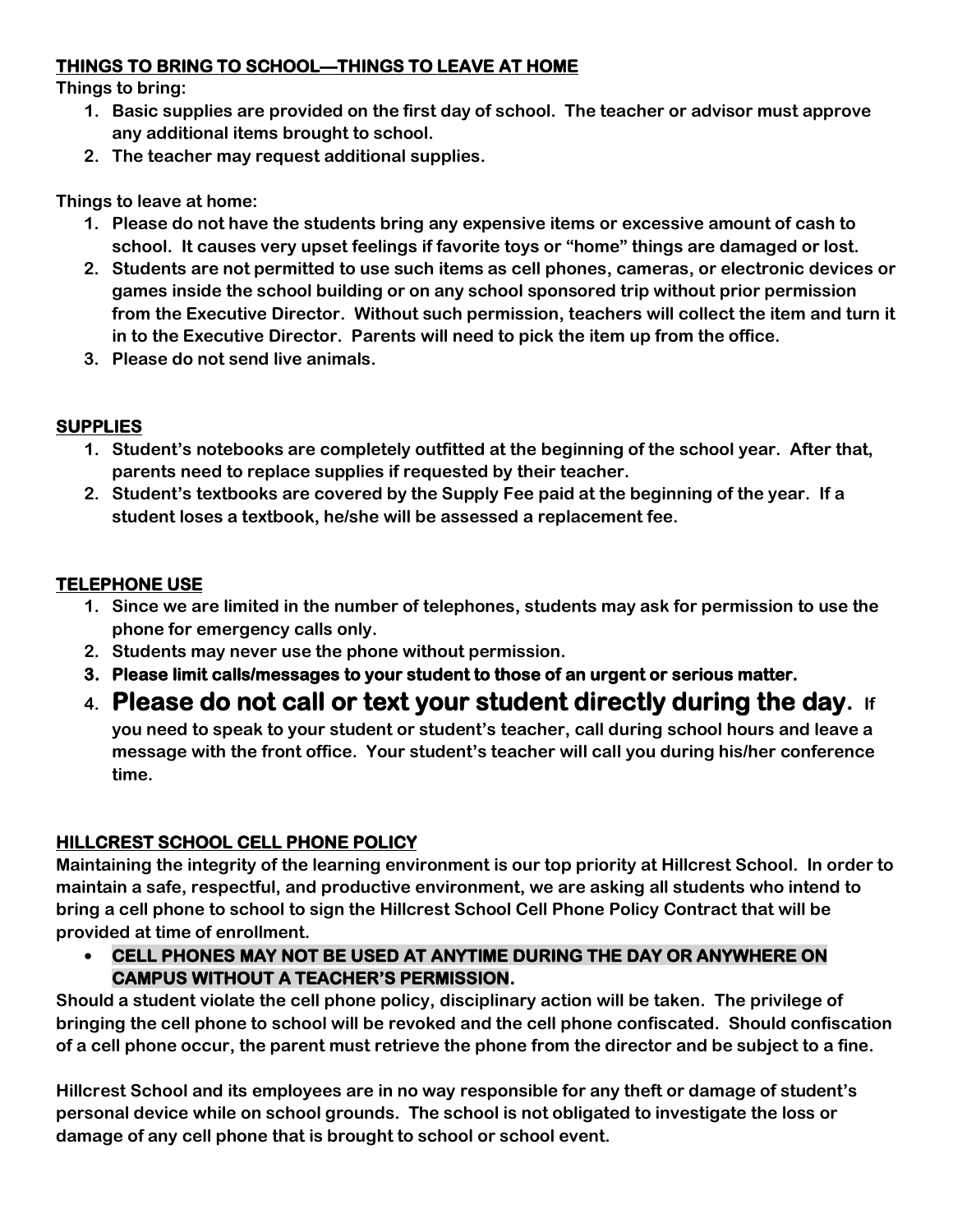### **THINGS TO BRING TO SCHOOL—THINGS TO LEAVE AT HOME**

**Things to bring:**

- **1. Basic supplies are provided on the first day of school. The teacher or advisor must approve any additional items brought to school.**
- **2. The teacher may request additional supplies.**

**Things to leave at home:**

- **1. Please do not have the students bring any expensive items or excessive amount of cash to school. It causes very upset feelings if favorite toys or "home" things are damaged or lost.**
- **2. Students are not permitted to use such items as cell phones, cameras, or electronic devices or games inside the school building or on any school sponsored trip without prior permission from the Executive Director. Without such permission, teachers will collect the item and turn it in to the Executive Director. Parents will need to pick the item up from the office.**
- **3. Please do not send live animals.**

### **SUPPLIES**

- **1. Student's notebooks are completely outfitted at the beginning of the school year. After that, parents need to replace supplies if requested by their teacher.**
- **2. Student's textbooks are covered by the Supply Fee paid at the beginning of the year. If a student loses a textbook, he/she will be assessed a replacement fee.**

### **TELEPHONE USE**

- **1. Since we are limited in the number of telephones, students may ask for permission to use the phone for emergency calls only.**
- **2. Students may never use the phone without permission.**
- **3. Please limit calls/messages to your student to those of an urgent or serious matter.**
- **4. Please do not call or text your student directly during the day. If**

**you need to speak to your student or student's teacher, call during school hours and leave a message with the front office. Your student's teacher will call you during his/her conference time.**

### **HILLCREST SCHOOL CELL PHONE POLICY**

**Maintaining the integrity of the learning environment is our top priority at Hillcrest School. In order to maintain a safe, respectful, and productive environment, we are asking all students who intend to bring a cell phone to school to sign the Hillcrest School Cell Phone Policy Contract that will be provided at time of enrollment.**

• **CELL PHONES MAY NOT BE USED AT ANYTIME DURING THE DAY OR ANYWHERE ON CAMPUS WITHOUT A TEACHER'S PERMISSION.** 

**Should a student violate the cell phone policy, disciplinary action will be taken. The privilege of bringing the cell phone to school will be revoked and the cell phone confiscated. Should confiscation of a cell phone occur, the parent must retrieve the phone from the director and be subject to a fine.**

**Hillcrest School and its employees are in no way responsible for any theft or damage of student's personal device while on school grounds. The school is not obligated to investigate the loss or damage of any cell phone that is brought to school or school event.**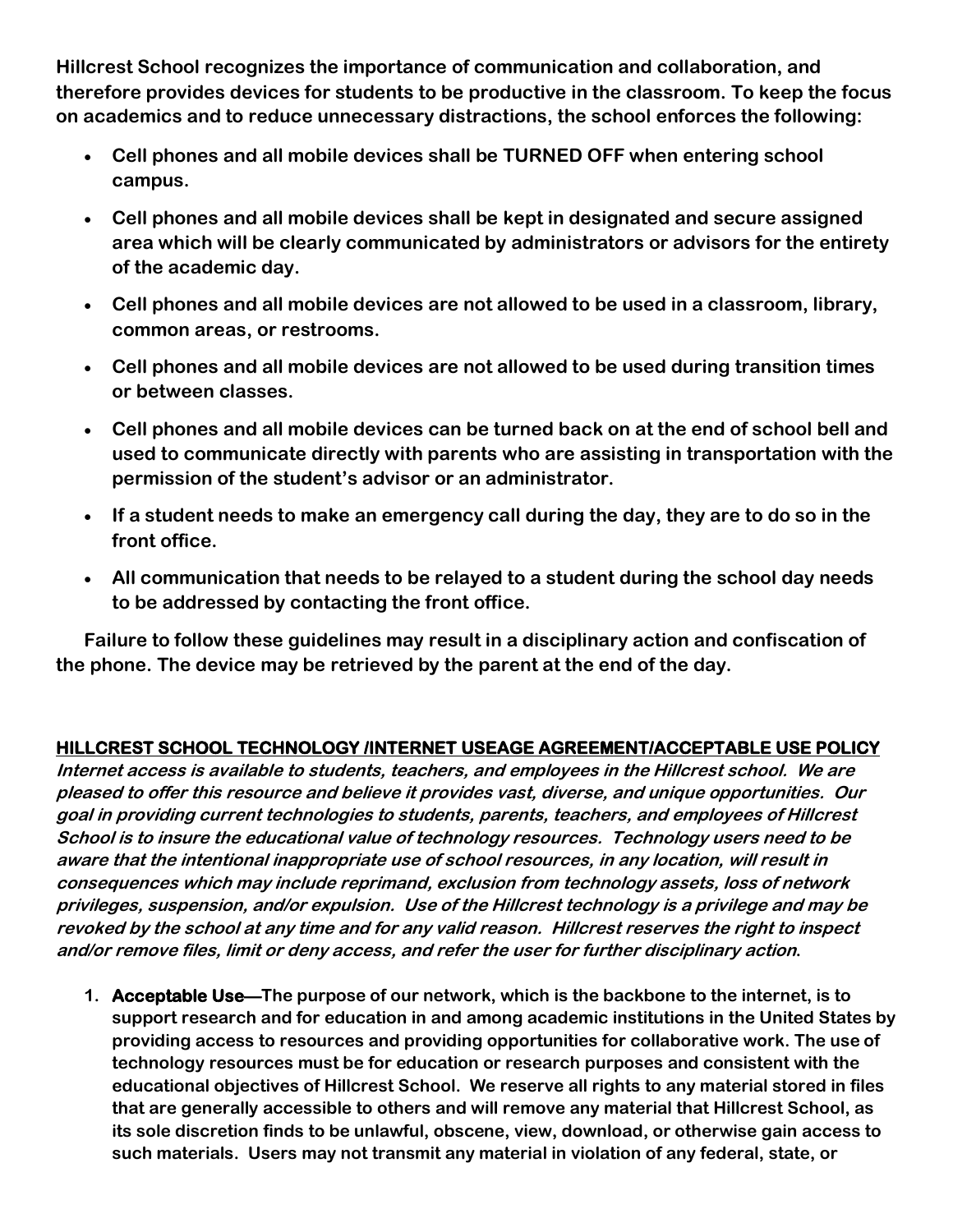**Hillcrest School recognizes the importance of communication and collaboration, and therefore provides devices for students to be productive in the classroom. To keep the focus on academics and to reduce unnecessary distractions, the school enforces the following:**

- **Cell phones and all mobile devices shall be TURNED OFF when entering school campus.**
- **Cell phones and all mobile devices shall be kept in designated and secure assigned area which will be clearly communicated by administrators or advisors for the entirety of the academic day.**
- **Cell phones and all mobile devices are not allowed to be used in a classroom, library, common areas, or restrooms.**
- **Cell phones and all mobile devices are not allowed to be used during transition times or between classes.**
- **Cell phones and all mobile devices can be turned back on at the end of school bell and used to communicate directly with parents who are assisting in transportation with the permission of the student's advisor or an administrator.**
- **If a student needs to make an emergency call during the day, they are to do so in the front office.**
- **All communication that needs to be relayed to a student during the school day needs to be addressed by contacting the front office.**

**Failure to follow these guidelines may result in a disciplinary action and confiscation of the phone. The device may be retrieved by the parent at the end of the day.**

### **HILLCREST SCHOOL TECHNOLOGY /INTERNET USEAGE AGREEMENT/ACCEPTABLE USE POLICY**

**Internet access is available to students, teachers, and employees in the Hillcrest school. We are pleased to offer this resource and believe it provides vast, diverse, and unique opportunities. Our goal in providing current technologies to students, parents, teachers, and employees of Hillcrest School is to insure the educational value of technology resources. Technology users need to be aware that the intentional inappropriate use of school resources, in any location, will result in consequences which may include reprimand, exclusion from technology assets, loss of network privileges, suspension, and/or expulsion. Use of the Hillcrest technology is a privilege and may be revoked by the school at any time and for any valid reason. Hillcrest reserves the right to inspect and/or remove files, limit or deny access, and refer the user for further disciplinary action.** 

**1. Acceptable Use—The purpose of our network, which is the backbone to the internet, is to support research and for education in and among academic institutions in the United States by providing access to resources and providing opportunities for collaborative work. The use of technology resources must be for education or research purposes and consistent with the educational objectives of Hillcrest School. We reserve all rights to any material stored in files that are generally accessible to others and will remove any material that Hillcrest School, as its sole discretion finds to be unlawful, obscene, view, download, or otherwise gain access to such materials. Users may not transmit any material in violation of any federal, state, or**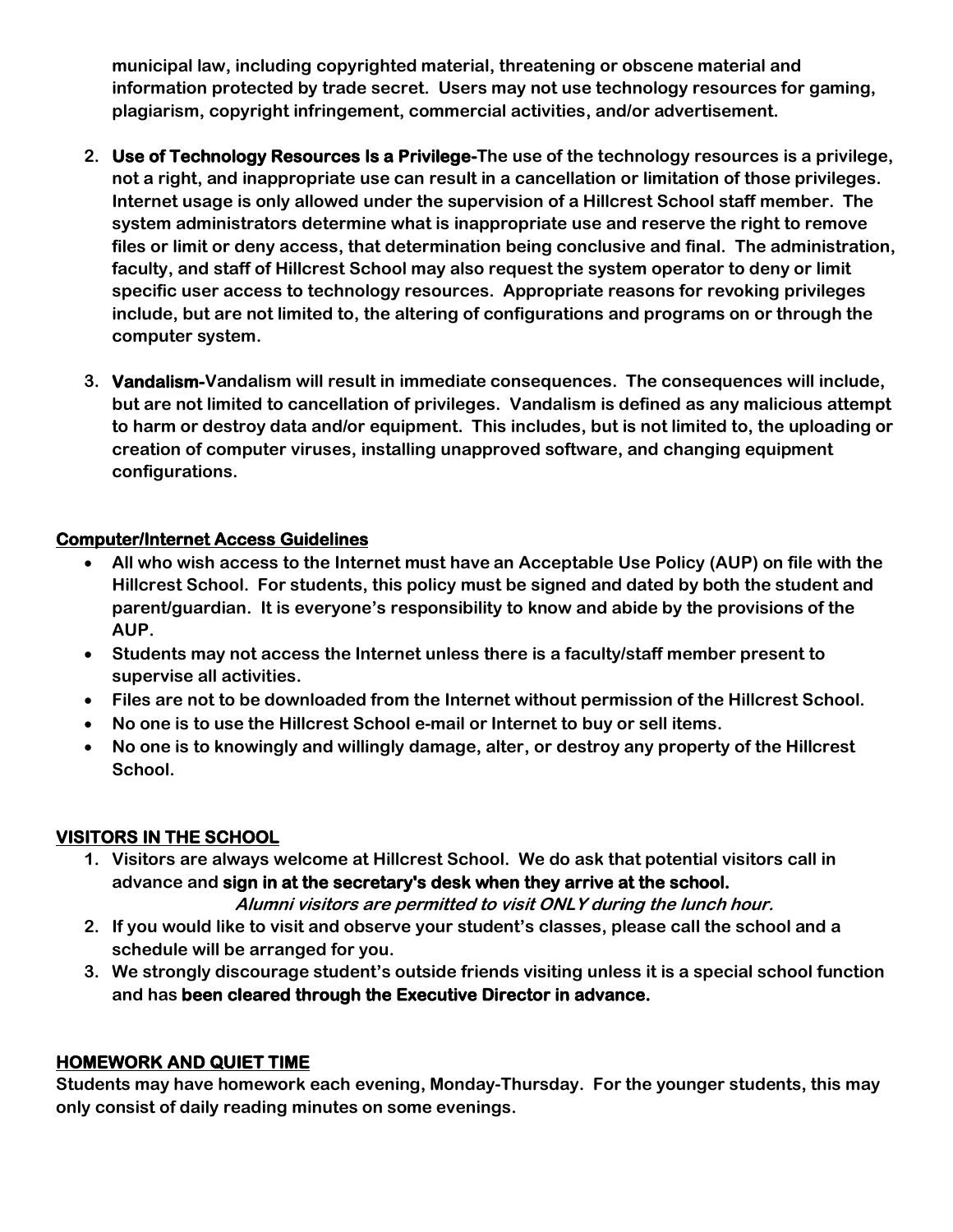**municipal law, including copyrighted material, threatening or obscene material and information protected by trade secret. Users may not use technology resources for gaming, plagiarism, copyright infringement, commercial activities, and/or advertisement.** 

- **2. Use of Technology Resources Is a Privilege-The use of the technology resources is a privilege, not a right, and inappropriate use can result in a cancellation or limitation of those privileges. Internet usage is only allowed under the supervision of a Hillcrest School staff member. The system administrators determine what is inappropriate use and reserve the right to remove files or limit or deny access, that determination being conclusive and final. The administration, faculty, and staff of Hillcrest School may also request the system operator to deny or limit specific user access to technology resources. Appropriate reasons for revoking privileges include, but are not limited to, the altering of configurations and programs on or through the computer system.**
- **3. Vandalism-Vandalism will result in immediate consequences. The consequences will include, but are not limited to cancellation of privileges. Vandalism is defined as any malicious attempt to harm or destroy data and/or equipment. This includes, but is not limited to, the uploading or creation of computer viruses, installing unapproved software, and changing equipment configurations.**

### **Computer/Internet Access Guidelines**

- **All who wish access to the Internet must have an Acceptable Use Policy (AUP) on file with the Hillcrest School. For students, this policy must be signed and dated by both the student and parent/guardian. It is everyone's responsibility to know and abide by the provisions of the AUP.**
- **Students may not access the Internet unless there is a faculty/staff member present to supervise all activities.**
- **Files are not to be downloaded from the Internet without permission of the Hillcrest School.**
- **No one is to use the Hillcrest School e-mail or Internet to buy or sell items.**
- **No one is to knowingly and willingly damage, alter, or destroy any property of the Hillcrest School.**

### **VISITORS IN THE SCHOOL**

**1. Visitors are always welcome at Hillcrest School. We do ask that potential visitors call in advance and sign in at the secretary's desk when they arrive at the school.** 

**Alumni visitors are permitted to visit ONLY during the lunch hour.**

- **2. If you would like to visit and observe your student's classes, please call the school and a schedule will be arranged for you.**
- **3. We strongly discourage student's outside friends visiting unless it is a special school function and has been cleared through the Executive Director in advance.**

### **HOMEWORK AND QUIET TIME**

**Students may have homework each evening, Monday-Thursday. For the younger students, this may only consist of daily reading minutes on some evenings.**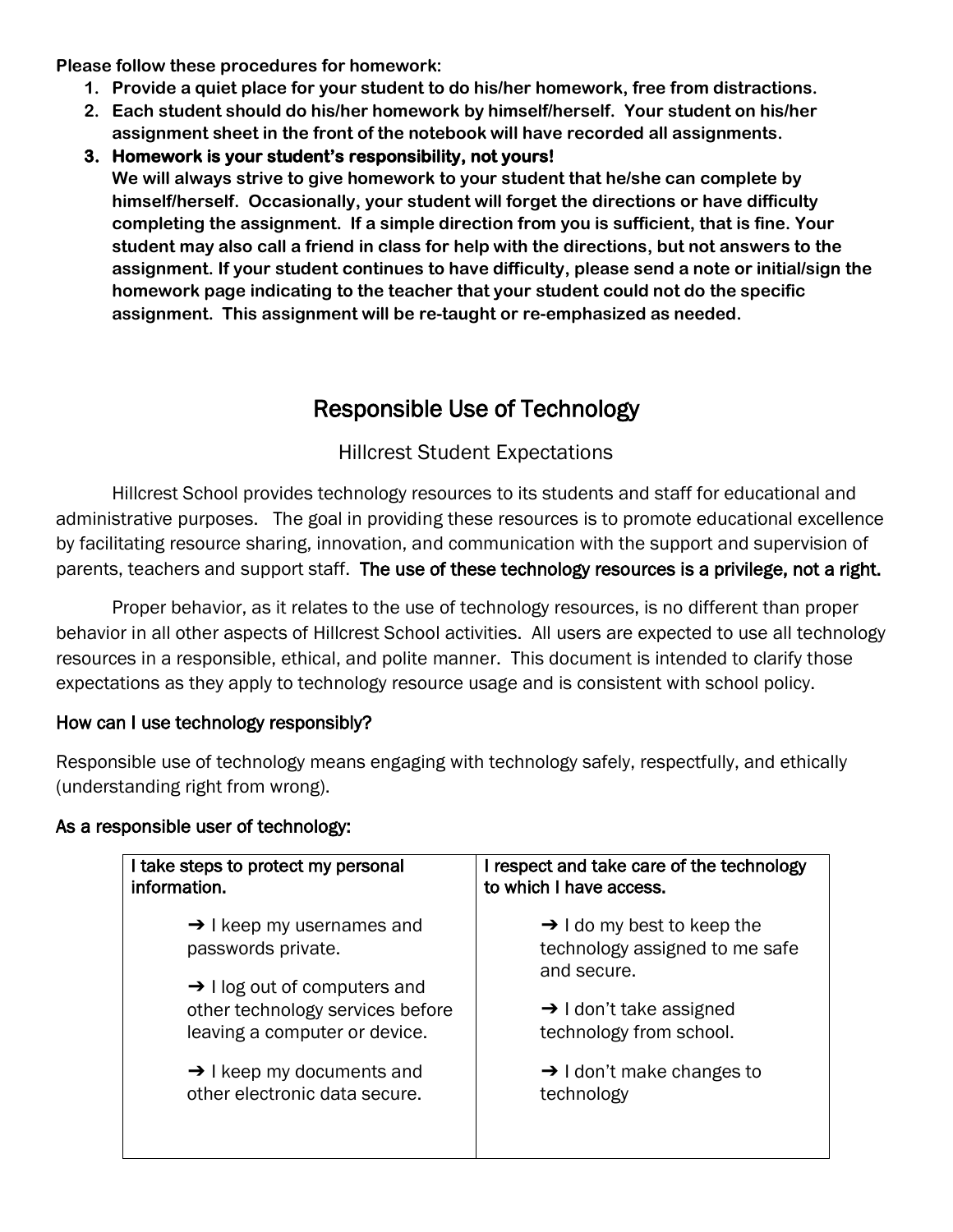**Please follow these procedures for homework:**

- **1. Provide a quiet place for your student to do his/her homework, free from distractions.**
- **2. Each student should do his/her homework by himself/herself. Your student on his/her assignment sheet in the front of the notebook will have recorded all assignments.**
- **3. Homework is your student's responsibility, not yours! We will always strive to give homework to your student that he/she can complete by himself/herself. Occasionally, your student will forget the directions or have difficulty completing the assignment. If a simple direction from you is sufficient, that is fine. Your student may also call a friend in class for help with the directions, but not answers to the assignment. If your student continues to have difficulty, please send a note or initial/sign the homework page indicating to the teacher that your student could not do the specific assignment. This assignment will be re-taught or re-emphasized as needed.**

### Responsible Use of Technology

### Hillcrest Student Expectations

Hillcrest School provides technology resources to its students and staff for educational and administrative purposes. The goal in providing these resources is to promote educational excellence by facilitating resource sharing, innovation, and communication with the support and supervision of parents, teachers and support staff. The use of these technology resources is a privilege, not a right.

Proper behavior, as it relates to the use of technology resources, is no different than proper behavior in all other aspects of Hillcrest School activities. All users are expected to use all technology resources in a responsible, ethical, and polite manner. This document is intended to clarify those expectations as they apply to technology resource usage and is consistent with school policy.

### How can I use technology responsibly?

Responsible use of technology means engaging with technology safely, respectfully, and ethically (understanding right from wrong).

### As a responsible user of technology:

| I take steps to protect my personal<br>information.                                                           | I respect and take care of the technology<br>to which I have access.                    |
|---------------------------------------------------------------------------------------------------------------|-----------------------------------------------------------------------------------------|
| $\rightarrow$ I keep my usernames and<br>passwords private.                                                   | $\rightarrow$ I do my best to keep the<br>technology assigned to me safe<br>and secure. |
| $\rightarrow$ 1 log out of computers and<br>other technology services before<br>leaving a computer or device. | $\rightarrow$ I don't take assigned<br>technology from school.                          |
| $\rightarrow$ I keep my documents and<br>other electronic data secure.                                        | $\rightarrow$ I don't make changes to<br>technology                                     |
|                                                                                                               |                                                                                         |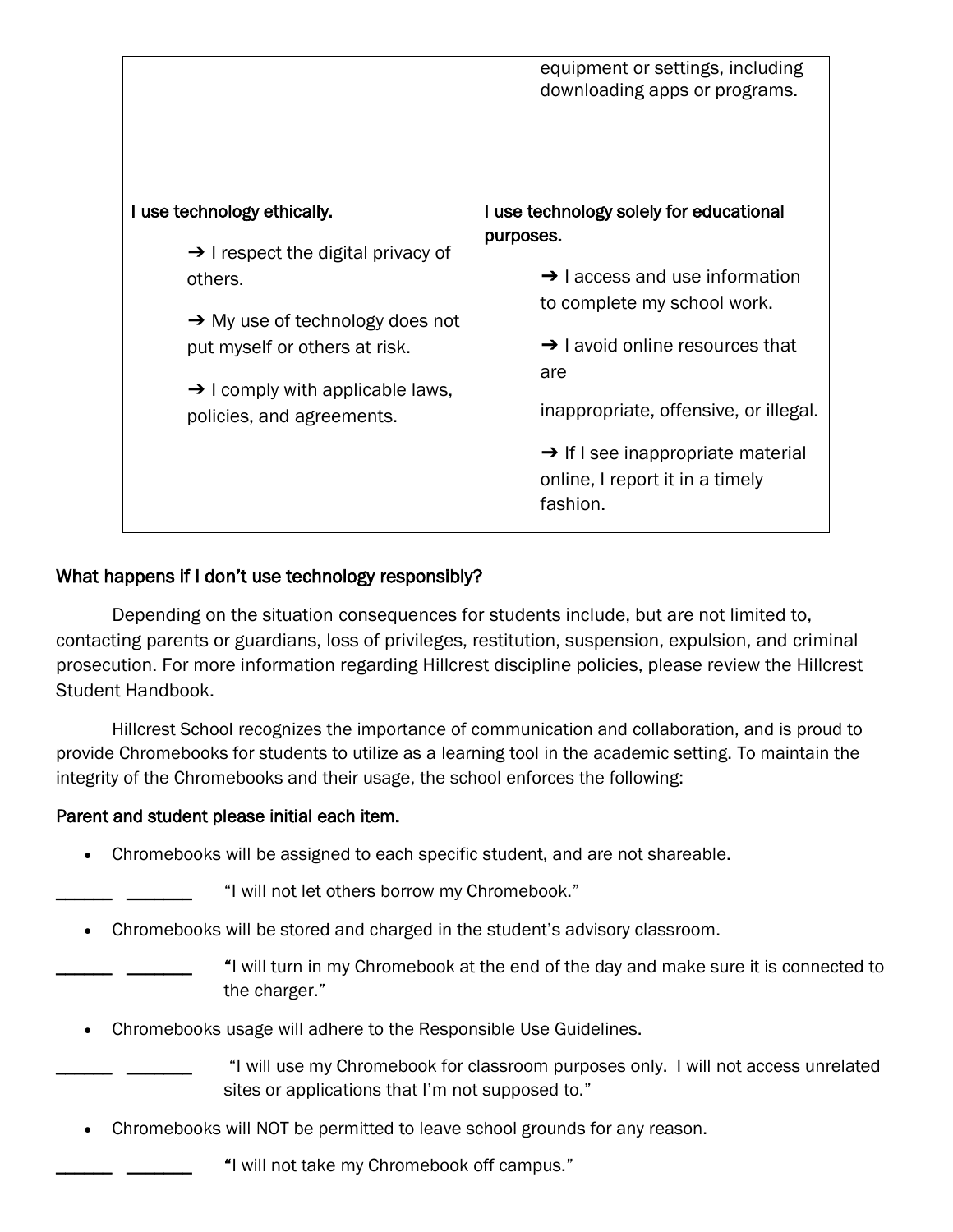|                                                                                                                                                                                                                                                       | equipment or settings, including<br>downloading apps or programs.                                                                                                                                                                                                                                                                |
|-------------------------------------------------------------------------------------------------------------------------------------------------------------------------------------------------------------------------------------------------------|----------------------------------------------------------------------------------------------------------------------------------------------------------------------------------------------------------------------------------------------------------------------------------------------------------------------------------|
| I use technology ethically.<br>$\rightarrow$ I respect the digital privacy of<br>others.<br>$\rightarrow$ My use of technology does not<br>put myself or others at risk.<br>$\rightarrow$ I comply with applicable laws,<br>policies, and agreements. | I use technology solely for educational<br>purposes.<br>$\rightarrow$ 1 access and use information<br>to complete my school work.<br>$\rightarrow$ I avoid online resources that<br>are<br>inappropriate, offensive, or illegal.<br>$\rightarrow$ If I see inappropriate material<br>online, I report it in a timely<br>fashion. |

### What happens if I don't use technology responsibly?

Depending on the situation consequences for students include, but are not limited to, contacting parents or guardians, loss of privileges, restitution, suspension, expulsion, and criminal prosecution. For more information regarding Hillcrest discipline policies, please review the Hillcrest Student Handbook.

Hillcrest School recognizes the importance of communication and collaboration, and is proud to provide Chromebooks for students to utilize as a learning tool in the academic setting. To maintain the integrity of the Chromebooks and their usage, the school enforces the following:

### Parent and student please initial each item.

• Chromebooks will be assigned to each specific student, and are not shareable.

"I will not let others borrow my Chromebook."

- Chromebooks will be stored and charged in the student's advisory classroom.
	- \_\_\_\_\_\_ \_\_\_\_\_\_\_ "I will turn in my Chromebook at the end of the day and make sure it is connected to the charger."
- Chromebooks usage will adhere to the Responsible Use Guidelines.

\_\_\_\_\_\_ \_\_\_\_\_\_\_ "I will use my Chromebook for classroom purposes only. I will not access unrelated sites or applications that I'm not supposed to."

• Chromebooks will NOT be permitted to leave school grounds for any reason.

"I will not take my Chromebook off campus."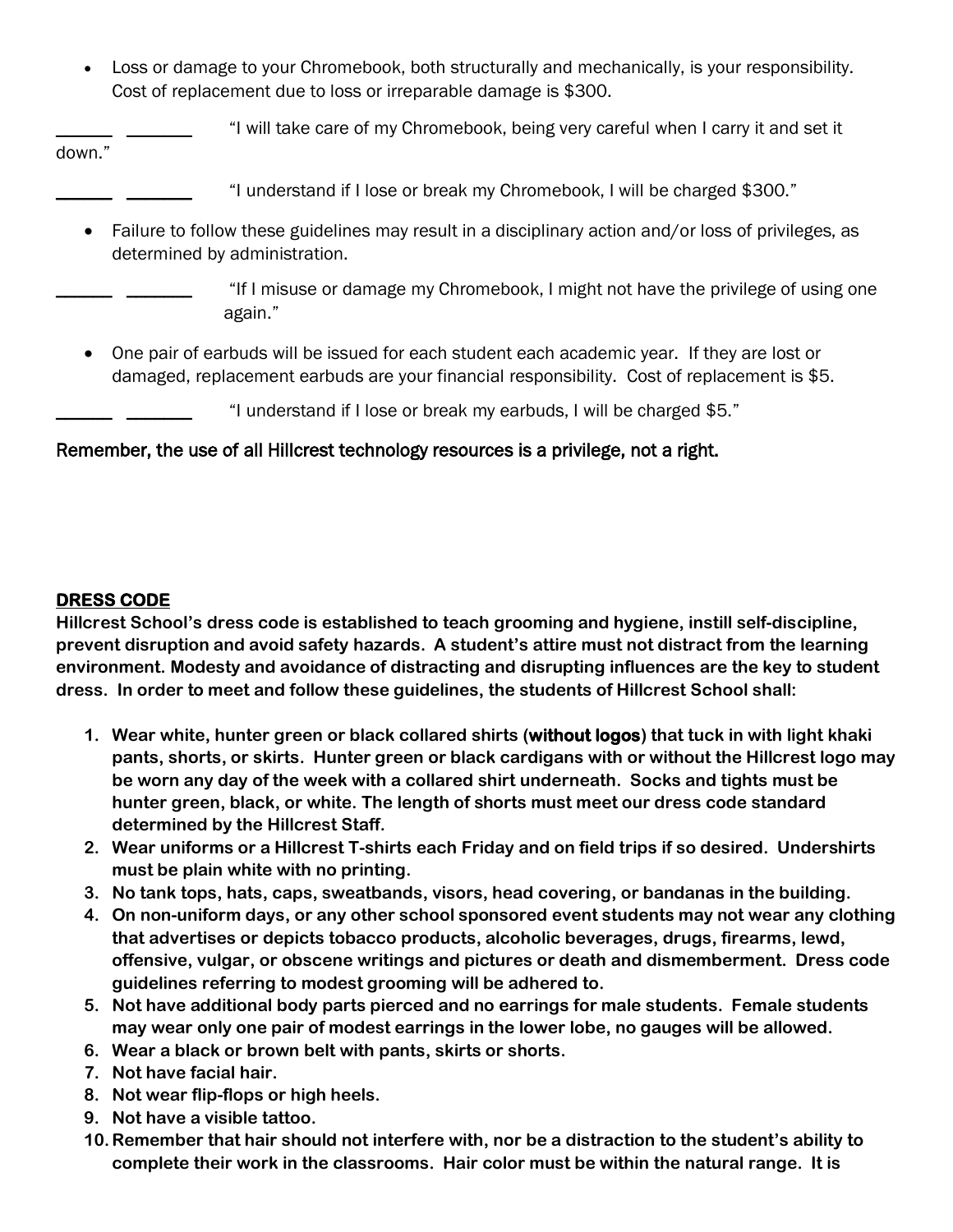• Loss or damage to your Chromebook, both structurally and mechanically, is your responsibility. Cost of replacement due to loss or irreparable damage is \$300.

\_\_\_\_\_\_ \_\_\_\_\_\_\_ "I will take care of my Chromebook, being very careful when I carry it and set it

down."

- \_\_\_\_\_\_ \_\_\_\_\_\_\_ "I understand if I lose or break my Chromebook, I will be charged \$300."
- Failure to follow these guidelines may result in a disciplinary action and/or loss of privileges, as determined by administration.

\_\_\_\_\_\_ \_\_\_\_\_\_\_ "If I misuse or damage my Chromebook, I might not have the privilege of using one again."

• One pair of earbuds will be issued for each student each academic year. If they are lost or damaged, replacement earbuds are your financial responsibility. Cost of replacement is \$5.

\_\_\_\_\_\_ \_\_\_\_\_\_\_ "I understand if I lose or break my earbuds, I will be charged \$5."

### Remember, the use of all Hillcrest technology resources is a privilege, not a right.

### **DRESS CODE**

**Hillcrest School's dress code is established to teach grooming and hygiene, instill self-discipline, prevent disruption and avoid safety hazards. A student's attire must not distract from the learning environment. Modesty and avoidance of distracting and disrupting influences are the key to student dress. In order to meet and follow these guidelines, the students of Hillcrest School shall:**

- **1. Wear white, hunter green or black collared shirts (without logos) that tuck in with light khaki pants, shorts, or skirts. Hunter green or black cardigans with or without the Hillcrest logo may be worn any day of the week with a collared shirt underneath. Socks and tights must be hunter green, black, or white. The length of shorts must meet our dress code standard determined by the Hillcrest Staff.**
- **2. Wear uniforms or a Hillcrest T-shirts each Friday and on field trips if so desired. Undershirts must be plain white with no printing.**
- **3. No tank tops, hats, caps, sweatbands, visors, head covering, or bandanas in the building.**
- **4. On non-uniform days, or any other school sponsored event students may not wear any clothing that advertises or depicts tobacco products, alcoholic beverages, drugs, firearms, lewd, offensive, vulgar, or obscene writings and pictures or death and dismemberment. Dress code guidelines referring to modest grooming will be adhered to.**
- **5. Not have additional body parts pierced and no earrings for male students. Female students may wear only one pair of modest earrings in the lower lobe, no gauges will be allowed.**
- **6. Wear a black or brown belt with pants, skirts or shorts.**
- **7. Not have facial hair.**
- **8. Not wear flip-flops or high heels.**
- **9. Not have a visible tattoo.**
- **10.Remember that hair should not interfere with, nor be a distraction to the student's ability to complete their work in the classrooms. Hair color must be within the natural range. It is**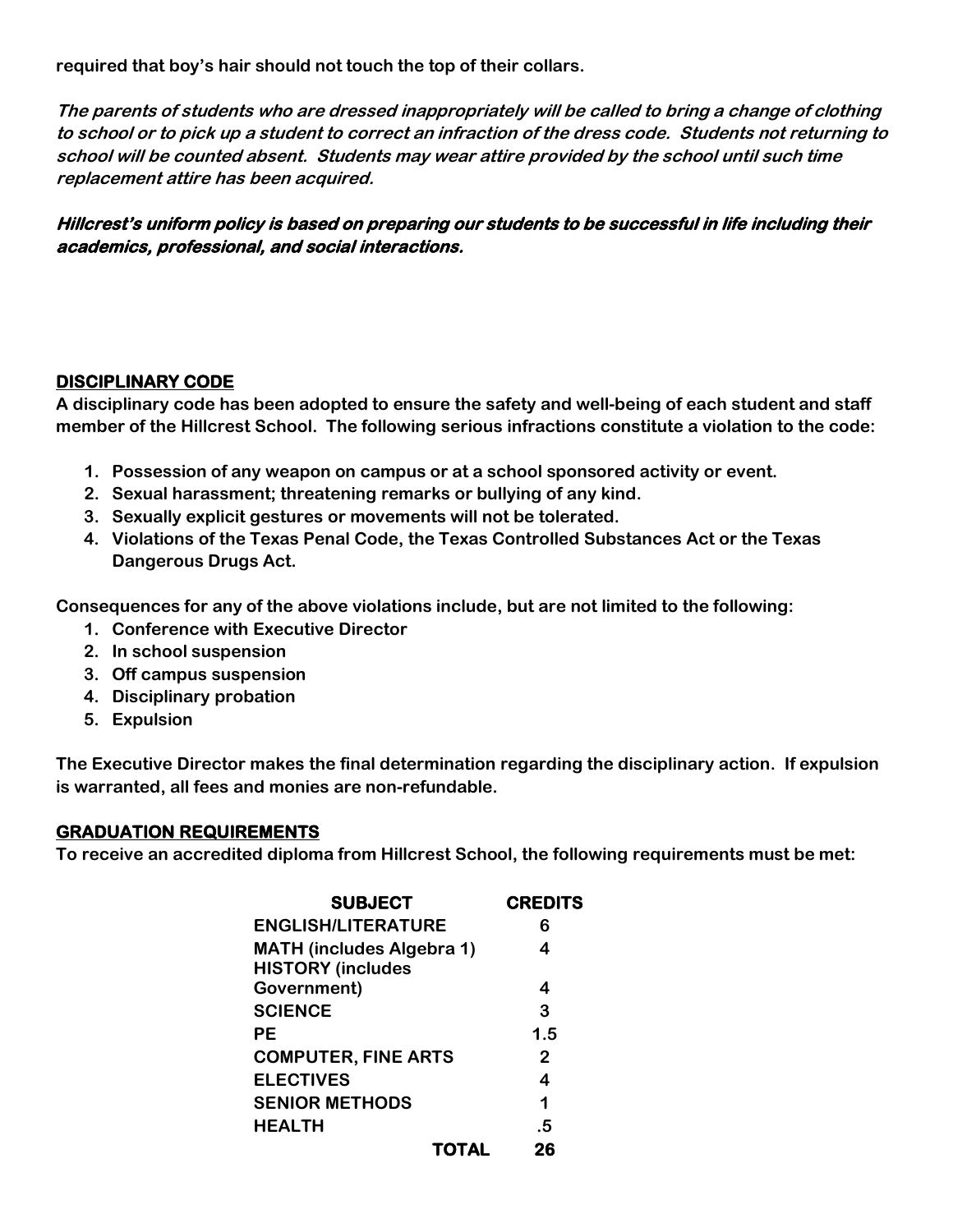**required that boy's hair should not touch the top of their collars.**

**The parents of students who are dressed inappropriately will be called to bring a change of clothing to school or to pick up a student to correct an infraction of the dress code. Students not returning to school will be counted absent. Students may wear attire provided by the school until such time replacement attire has been acquired.**

**Hillcrest's uniform policy is based on preparing our students to be successful in life including their academics, professional, and social interactions.** 

### **DISCIPLINARY CODE**

**A disciplinary code has been adopted to ensure the safety and well-being of each student and staff member of the Hillcrest School. The following serious infractions constitute a violation to the code:**

- **1. Possession of any weapon on campus or at a school sponsored activity or event.**
- **2. Sexual harassment; threatening remarks or bullying of any kind.**
- **3. Sexually explicit gestures or movements will not be tolerated.**
- **4. Violations of the Texas Penal Code, the Texas Controlled Substances Act or the Texas Dangerous Drugs Act.**

**Consequences for any of the above violations include, but are not limited to the following:**

- **1. Conference with Executive Director**
- **2. In school suspension**
- **3. Off campus suspension**
- **4. Disciplinary probation**
- **5. Expulsion**

**The Executive Director makes the final determination regarding the disciplinary action. If expulsion is warranted, all fees and monies are non-refundable.**

### **GRADUATION REQUIREMENTS**

**To receive an accredited diploma from Hillcrest School, the following requirements must be met:**

| <b>SUBJECT</b>                                               |              | <b>CREDITS</b>          |
|--------------------------------------------------------------|--------------|-------------------------|
| <b>ENGLISH/LITERATURE</b>                                    |              | 6                       |
| <b>MATH (includes Algebra 1)</b><br><b>HISTORY (includes</b> |              | 4                       |
| Government)                                                  |              | 4                       |
| <b>SCIENCE</b>                                               |              | 3                       |
| PЕ                                                           |              | 1.5                     |
| <b>COMPUTER, FINE ARTS</b>                                   |              | $\mathbf{2}$            |
| <b>ELECTIVES</b>                                             |              | $\overline{\mathbf{4}}$ |
| <b>SENIOR METHODS</b>                                        |              | 1                       |
| <b>HEALTH</b>                                                |              | .5                      |
|                                                              | <b>TOTAL</b> | 26                      |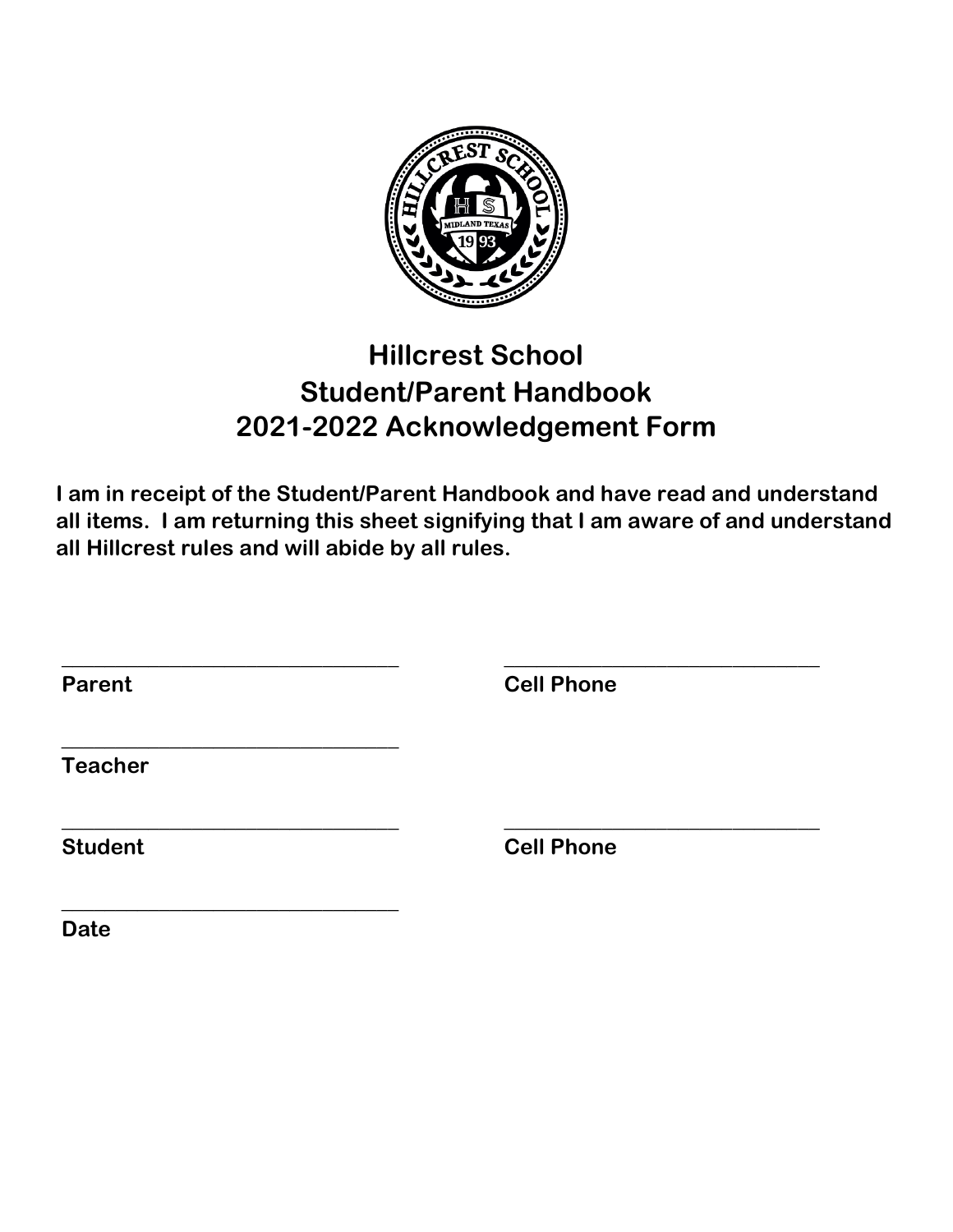

## **Hillcrest School Student/Parent Handbook 2021-2022 Acknowledgement Form**

**I am in receipt of the Student/Parent Handbook and have read and understand all items. I am returning this sheet signifying that I am aware of and understand all Hillcrest rules and will abide by all rules.**

| <b>Cell Phone</b> |  |
|-------------------|--|
|                   |  |
| <b>Cell Phone</b> |  |
|                   |  |

**Date**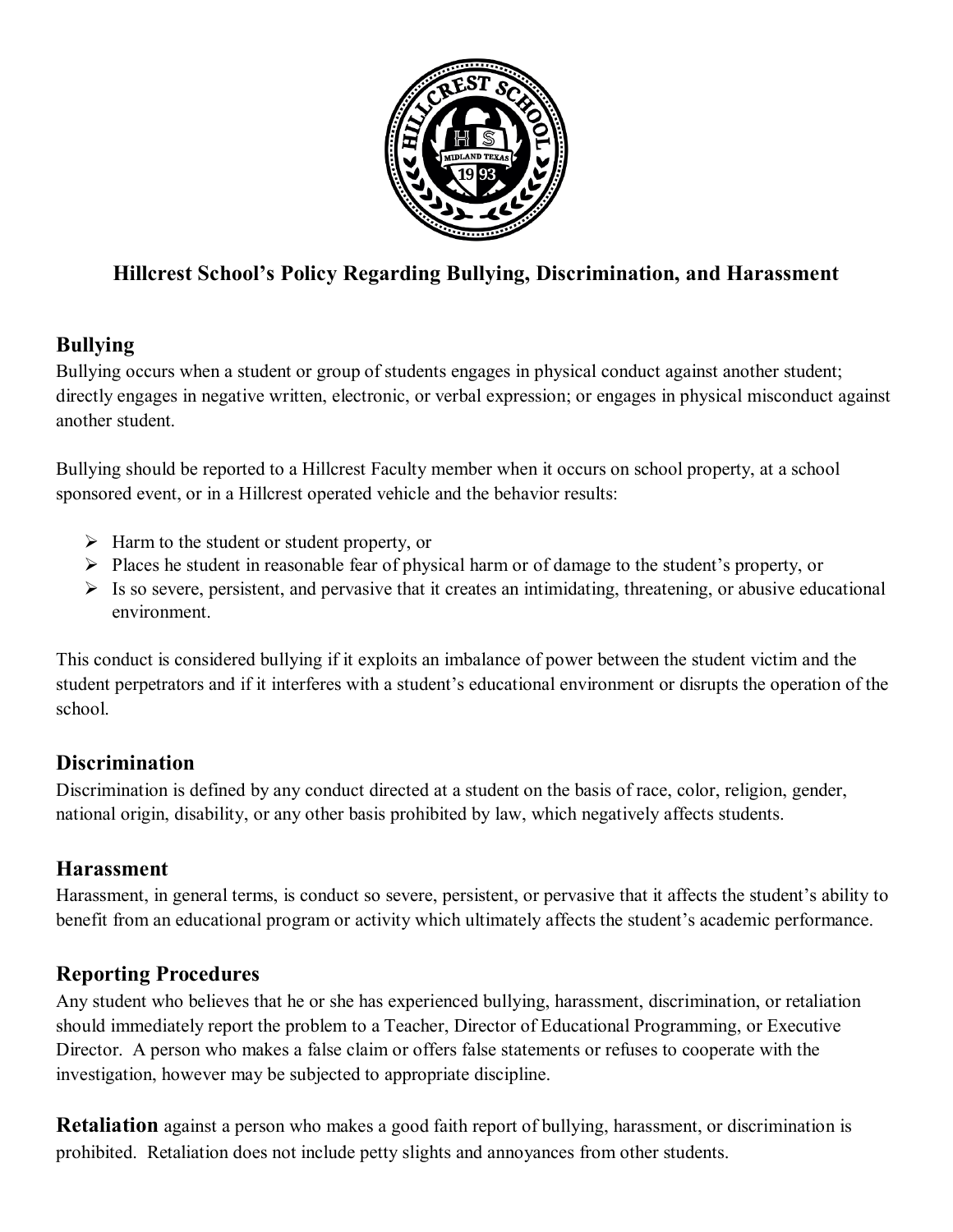

### **Hillcrest School's Policy Regarding Bullying, Discrimination, and Harassment**

### **Bullying**

Bullying occurs when a student or group of students engages in physical conduct against another student; directly engages in negative written, electronic, or verbal expression; or engages in physical misconduct against another student.

Bullying should be reported to a Hillcrest Faculty member when it occurs on school property, at a school sponsored event, or in a Hillcrest operated vehicle and the behavior results:

- $\triangleright$  Harm to the student or student property, or
- $\triangleright$  Places he student in reasonable fear of physical harm or of damage to the student's property, or
- $\triangleright$  Is so severe, persistent, and pervasive that it creates an intimidating, threatening, or abusive educational environment.

This conduct is considered bullying if it exploits an imbalance of power between the student victim and the student perpetrators and if it interferes with a student's educational environment or disrupts the operation of the school.

### **Discrimination**

Discrimination is defined by any conduct directed at a student on the basis of race, color, religion, gender, national origin, disability, or any other basis prohibited by law, which negatively affects students.

### **Harassment**

Harassment, in general terms, is conduct so severe, persistent, or pervasive that it affects the student's ability to benefit from an educational program or activity which ultimately affects the student's academic performance.

### **Reporting Procedures**

Any student who believes that he or she has experienced bullying, harassment, discrimination, or retaliation should immediately report the problem to a Teacher, Director of Educational Programming, or Executive Director. A person who makes a false claim or offers false statements or refuses to cooperate with the investigation, however may be subjected to appropriate discipline.

**Retaliation** against a person who makes a good faith report of bullying, harassment, or discrimination is prohibited. Retaliation does not include petty slights and annoyances from other students.